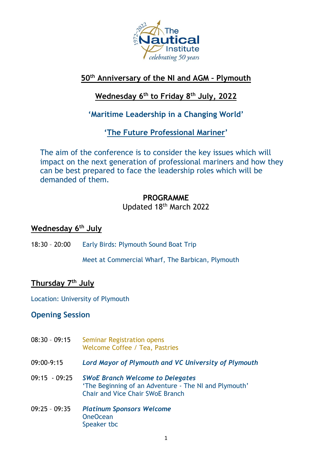

# **50th Anniversary of the NI and AGM – Plymouth**

# **Wednesday 6 th to Friday 8 th July, 2022**

# **'Maritime Leadership in a Changing World'**

**'The Future Professional Mariner'**

The aim of the conference is to consider the key issues which will impact on the next generation of professional mariners and how they can be best prepared to face the leadership roles which will be demanded of them.

### **PROGRAMME** Updated 18th March 2022

## **Wednesday 6 th July**

18:30 – 20:00 Early Birds: Plymouth Sound Boat Trip

Meet at Commercial Wharf, The Barbican, Plymouth

### **Thursday 7 th July**

Location: University of Plymouth

### **Opening Session**

- 08:30 09:15 Seminar Registration opens Welcome Coffee / Tea, Pastries
- 09:00-9:15 *Lord Mayor of Plymouth and VC University of Plymouth*
- 09:15 09:25 *SWoE Branch Welcome to Delegates* 'The Beginning of an Adventure - The NI and Plymouth' Chair and Vice Chair SWoE Branch
- 09:25 09:35 *Platinum Sponsors Welcome* OneOcean Speaker tbc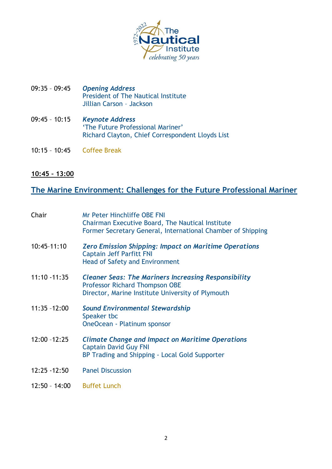

- 09:35 09:45 *Opening Address* President of The Nautical Institute Jillian Carson – Jackson
- 09:45 10:15 *Keynote Address* 'The Future Professional Mariner' Richard Clayton, Chief Correspondent Lloyds List
- 10:15 10:45 Coffee Break
- **10:45 – 13:00**

# **The Marine Environment: Challenges for the Future Professional Mariner**

| Chair           | <b>Mr Peter Hinchliffe OBE FNI</b><br>Chairman Executive Board, The Nautical Institute<br>Former Secretary General, International Chamber of Shipping     |
|-----------------|-----------------------------------------------------------------------------------------------------------------------------------------------------------|
| 10:45-11:10     | <b>Zero Emission Shipping: Impact on Maritime Operations</b><br><b>Captain Jeff Parfitt FNI</b><br><b>Head of Safety and Environment</b>                  |
| $11:10 - 11:35$ | <b>Cleaner Seas: The Mariners Increasing Responsibility</b><br><b>Professor Richard Thompson OBE</b><br>Director, Marine Institute University of Plymouth |
| $11:35 - 12:00$ | <b>Sound Environmental Stewardship</b><br>Speaker tbc<br>OneOcean - Platinum sponsor                                                                      |
| $12:00 - 12:25$ | <b>Climate Change and Impact on Maritime Operations</b><br><b>Captain David Guy FNI</b><br>BP Trading and Shipping - Local Gold Supporter                 |
| $12:25 - 12:50$ | <b>Panel Discussion</b>                                                                                                                                   |
| $12:50 - 14:00$ | <b>Buffet Lunch</b>                                                                                                                                       |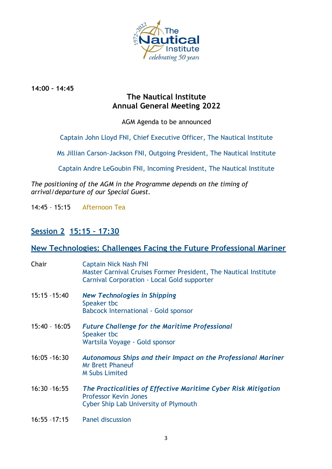

**14:00 – 14:45**

### **The Nautical Institute Annual General Meeting 2022**

AGM Agenda to be announced

Captain John Lloyd FNI, Chief Executive Officer, The Nautical Institute

Ms Jillian Carson-Jackson FNI, Outgoing President, The Nautical Institute

Captain Andre LeGoubin FNI, Incoming President, The Nautical Institute

*The positioning of the AGM in the Programme depends on the timing of arrival/departure of our Special Guest.*

14:45 – 15:15 Afternoon Tea

## **Session 2 15:15 – 17:30**

### **New Technologies: Challenges Facing the Future Professional Mariner**

| Chair           | <b>Captain Nick Nash FNI</b><br>Master Carnival Cruises Former President, The Nautical Institute<br>Carnival Corporation - Local Gold supporter |
|-----------------|-------------------------------------------------------------------------------------------------------------------------------------------------|
| $15:15 - 15:40$ | <b>New Technologies in Shipping</b><br>Speaker tbc<br><b>Babcock International - Gold sponsor</b>                                               |
| $15:40 - 16:05$ | <b>Future Challenge for the Maritime Professional</b><br>Speaker tbc<br>Wartsila Voyage - Gold sponsor                                          |
| $16:05 - 16:30$ | Autonomous Ships and their Impact on the Professional Mariner<br><b>Mr Brett Phaneuf</b><br><b>M Subs Limited</b>                               |
| $16:30 - 16:55$ | The Practicalities of Effective Maritime Cyber Risk Mitigation<br><b>Professor Kevin Jones</b><br>Cyber Ship Lab University of Plymouth         |
| $16:55 - 17:15$ | <b>Panel discussion</b>                                                                                                                         |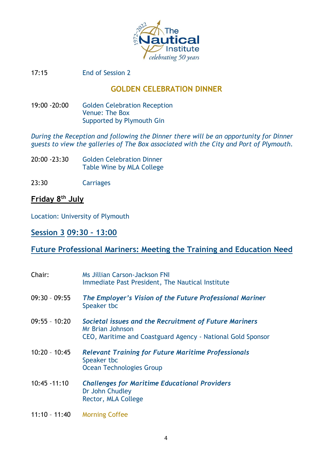

17:15 End of Session 2

### **GOLDEN CELEBRATION DINNER**

19:00 -20:00 Golden Celebration Reception Venue: The Box Supported by Plymouth Gin

*During the Reception and following the Dinner there will be an opportunity for Dinner guests to view the galleries of The Box associated with the City and Port of Plymouth.*

- 20:00 -23:30 Golden Celebration Dinner Table Wine by MLA College
- 23:30 Carriages

### **Friday 8 th July**

Location: University of Plymouth

### **Session 3 09:30 – 13:00**

### **Future Professional Mariners: Meeting the Training and Education Need**

| Chair:          | Ms Jillian Carson-Jackson FNI<br>Immediate Past President, The Nautical Institute                                                                |
|-----------------|--------------------------------------------------------------------------------------------------------------------------------------------------|
| $09:30 - 09:55$ | The Employer's Vision of the Future Professional Mariner<br>Speaker tbc                                                                          |
| $09:55 - 10:20$ | Societal issues and the Recruitment of Future Mariners<br><b>Mr Brian Johnson</b><br>CEO, Maritime and Coastguard Agency - National Gold Sponsor |
| $10:20 - 10:45$ | <b>Relevant Training for Future Maritime Professionals</b><br>Speaker tbc<br><b>Ocean Technologies Group</b>                                     |
| $10:45 - 11:10$ | <b>Challenges for Maritime Educational Providers</b><br>Dr John Chudley<br>Rector, MLA College                                                   |
| $11:10 - 11:40$ | <b>Morning Coffee</b>                                                                                                                            |